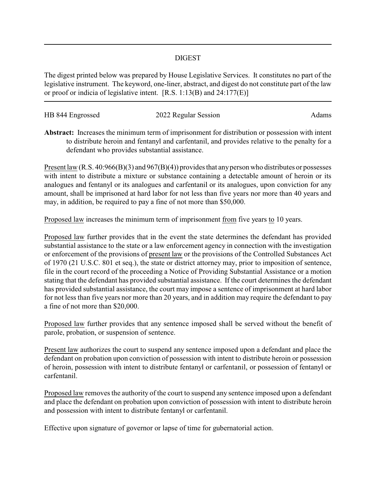## DIGEST

The digest printed below was prepared by House Legislative Services. It constitutes no part of the legislative instrument. The keyword, one-liner, abstract, and digest do not constitute part of the law or proof or indicia of legislative intent. [R.S. 1:13(B) and 24:177(E)]

| HB 844 Engrossed | 2022 Regular Session | Adams |
|------------------|----------------------|-------|
|                  |                      |       |

**Abstract:** Increases the minimum term of imprisonment for distribution or possession with intent to distribute heroin and fentanyl and carfentanil, and provides relative to the penalty for a defendant who provides substantial assistance.

Present law (R.S. 40:966(B)(3) and 967(B)(4)) provides that any person who distributes or possesses with intent to distribute a mixture or substance containing a detectable amount of heroin or its analogues and fentanyl or its analogues and carfentanil or its analogues, upon conviction for any amount, shall be imprisoned at hard labor for not less than five years nor more than 40 years and may, in addition, be required to pay a fine of not more than \$50,000.

Proposed law increases the minimum term of imprisonment from five years to 10 years.

Proposed law further provides that in the event the state determines the defendant has provided substantial assistance to the state or a law enforcement agency in connection with the investigation or enforcement of the provisions of present law or the provisions of the Controlled Substances Act of 1970 (21 U.S.C. 801 et seq.), the state or district attorney may, prior to imposition of sentence, file in the court record of the proceeding a Notice of Providing Substantial Assistance or a motion stating that the defendant has provided substantial assistance. If the court determines the defendant has provided substantial assistance, the court may impose a sentence of imprisonment at hard labor for not less than five years nor more than 20 years, and in addition may require the defendant to pay a fine of not more than \$20,000.

Proposed law further provides that any sentence imposed shall be served without the benefit of parole, probation, or suspension of sentence.

Present law authorizes the court to suspend any sentence imposed upon a defendant and place the defendant on probation upon conviction of possession with intent to distribute heroin or possession of heroin, possession with intent to distribute fentanyl or carfentanil, or possession of fentanyl or carfentanil.

Proposed law removes the authority of the court to suspend any sentence imposed upon a defendant and place the defendant on probation upon conviction of possession with intent to distribute heroin and possession with intent to distribute fentanyl or carfentanil.

Effective upon signature of governor or lapse of time for gubernatorial action.